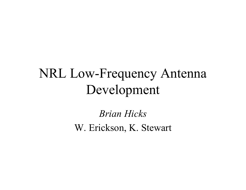Brian Hicks W. Erickson, K. Stewart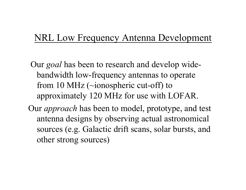Our *goal* has been to research and develop widebandwidth low-frequency antennas to operate from 10 MHz (~ionospheric cut-off) to approximately 120 MHz for use with LOFAR.

Our *approach* has been to model, prototype, and test antenna designs by observing actual astronomical sources (e.g. Galactic drift scans, solar bursts, and other strong sources)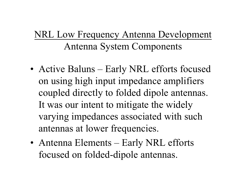# NRL Low Frequency Antenna Development Antenna System Components

- Active Baluns Early NRL efforts focused on using high input impedance amplifiers coupled directly to folded dipole antennas. It was our intent to mitigate the widely varying impedances associated with such antennas at lower frequencies.
- Antenna Elements Early NRL efforts focused on folded-dipole antennas.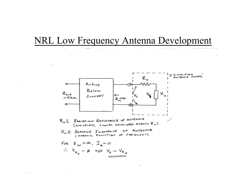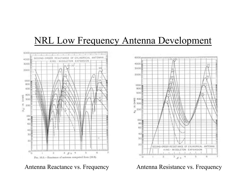

Antenna Reactance vs. Frequency **Antenna Resistance vs. Frequency** 

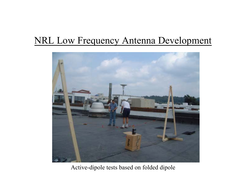

Active-dipole tests based on folded dipole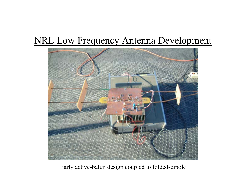

Early active-balun design coupled to folded-dipole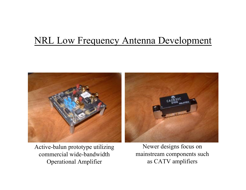

Active-balun prototype utilizing commercial wide-bandwidth Operational Amplifier

Newer designs focus on mainstream components such as CATV amplifiers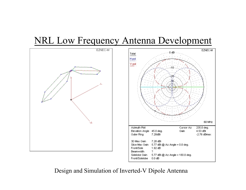



Design and Simulation of Inverted-V Dipole Antenna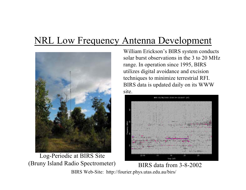

Log-Periodic at BIRS Site (Bruny Island Radio Spectrometer) BIRS data from 3-8-2002

William Erickson's BIRS system conducts solar burst observations in the 3 to 20 MHz range. In operation since 1995, BIRS utilizes digital avoidance and excision techniques to minimize terrestrial RFI. BIRS data is updated daily on its WWW site.



BIRS Web-Site: http://fourier.phys.utas.edu.au/birs/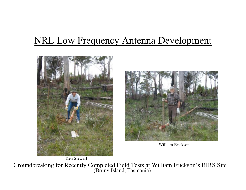



William Erickson

Groundbreaking for Recently Completed Field Tests at William Erickson's BIRS Site (Bruny Island, Tasmania)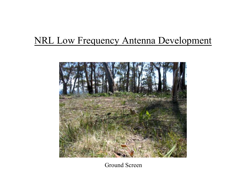

Ground Screen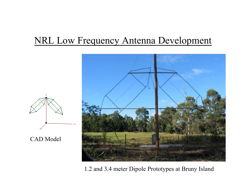CAD Model



1.2 and 3.4 meter Dipole Prototypes at Bruny Island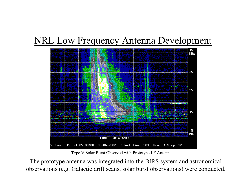

Type V Solar Burst Observed with Prototype LF Antenna

The prototype antenna was integrated into the BIRS system and astronomical observations (e.g. Galactic drift scans, solar burst observations) were conducted.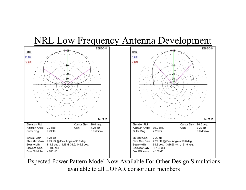

Expected Power Pattern Model Now Available For Other Design Simulations available to all LOFAR consortium members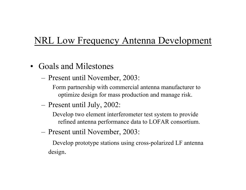- Goals and Milestones
	- –Present until November, 2003:

Form partnership with commercial antenna manufacturer to optimize design for mass production and manage risk.

Present until July, 2002:

Develop two element interferometer test system to provide refined antenna performance data to LOFAR consortium.

–Present until November, 2003:

Develop prototype stations using cross-polarized LF antenna design.